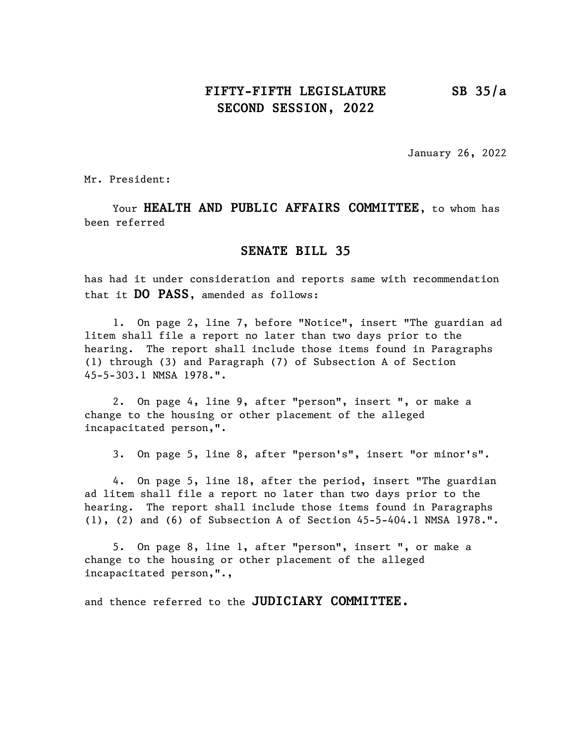## FIFTY-FIFTH LEGISLATURE SB 35/a SECOND SESSION, 2022

January 26, 2022

Mr. President:

Your HEALTH AND PUBLIC AFFAIRS COMMITTEE, to whom has been referred

## SENATE BILL 35

has had it under consideration and reports same with recommendation that it **DO PASS**, amended as follows:

1. On page 2, line 7, before "Notice", insert "The guardian ad litem shall file a report no later than two days prior to the hearing. The report shall include those items found in Paragraphs (1) through (3) and Paragraph (7) of Subsection A of Section 45-5-303.1 NMSA 1978.".

2. On page 4, line 9, after "person", insert ", or make a change to the housing or other placement of the alleged incapacitated person,".

3. On page 5, line 8, after "person's", insert "or minor's".

4. On page 5, line 18, after the period, insert "The guardian ad litem shall file a report no later than two days prior to the hearing. The report shall include those items found in Paragraphs (1), (2) and (6) of Subsection A of Section 45-5-404.1 NMSA 1978.".

5. On page 8, line 1, after "person", insert ", or make a change to the housing or other placement of the alleged incapacitated person,".,

and thence referred to the JUDICIARY COMMITTEE.